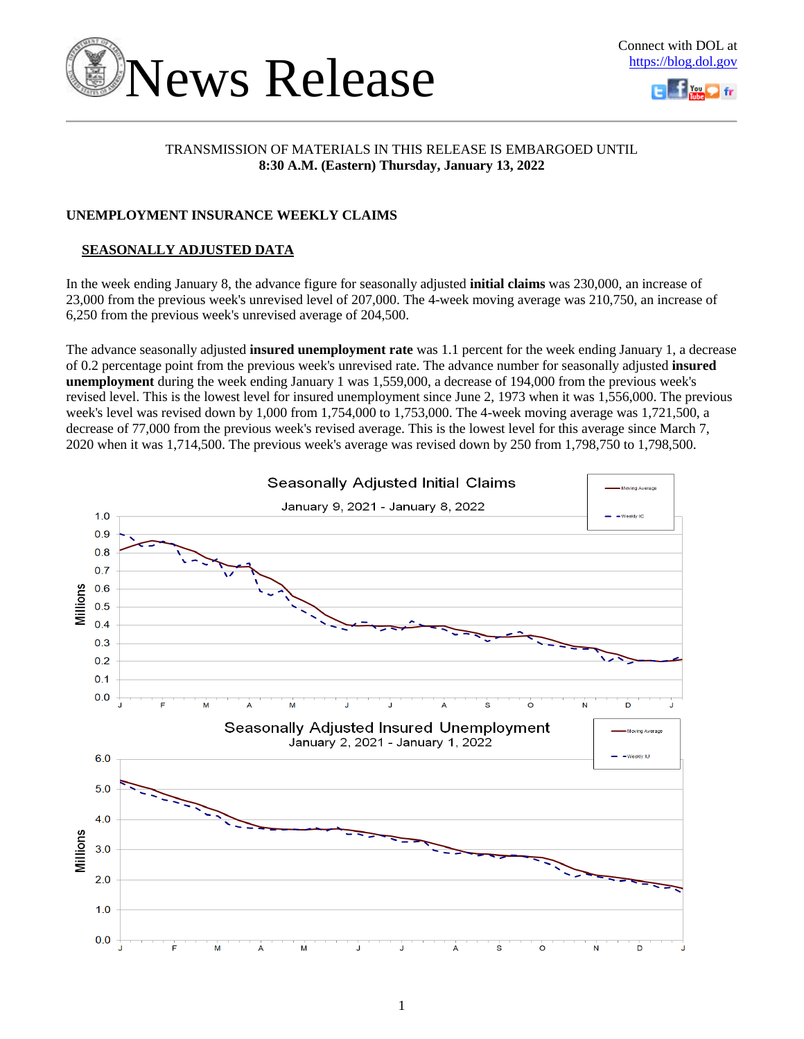



### TRANSMISSION OF MATERIALS IN THIS RELEASE IS EMBARGOED UNTIL **8:30 A.M. (Eastern) Thursday, January 13, 2022**

### **UNEMPLOYMENT INSURANCE WEEKLY CLAIMS**

## **SEASONALLY ADJUSTED DATA**

In the week ending January 8, the advance figure for seasonally adjusted **initial claims** was 230,000, an increase of 23,000 from the previous week's unrevised level of 207,000. The 4-week moving average was 210,750, an increase of 6,250 from the previous week's unrevised average of 204,500.

The advance seasonally adjusted **insured unemployment rate** was 1.1 percent for the week ending January 1, a decrease of 0.2 percentage point from the previous week's unrevised rate. The advance number for seasonally adjusted **insured unemployment** during the week ending January 1 was 1,559,000, a decrease of 194,000 from the previous week's revised level. This is the lowest level for insured unemployment since June 2, 1973 when it was 1,556,000. The previous week's level was revised down by 1,000 from 1,754,000 to 1,753,000. The 4-week moving average was 1,721,500, a decrease of 77,000 from the previous week's revised average. This is the lowest level for this average since March 7, 2020 when it was 1,714,500. The previous week's average was revised down by 250 from 1,798,750 to 1,798,500.

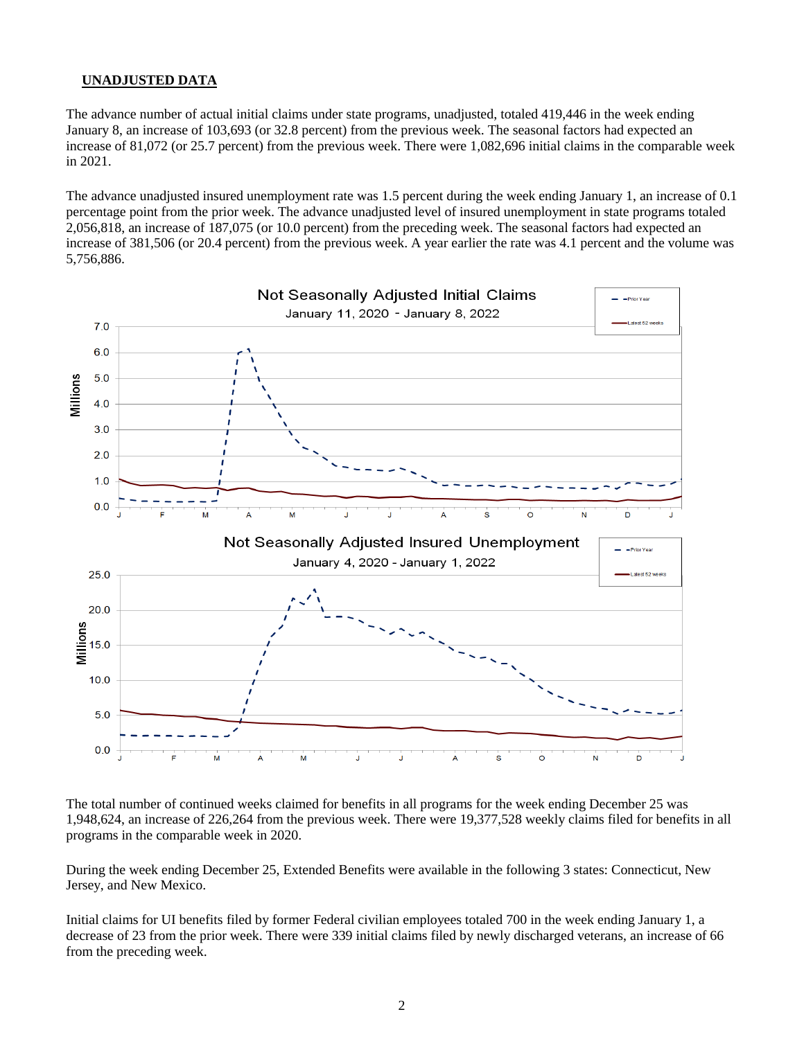### **UNADJUSTED DATA**

The advance number of actual initial claims under state programs, unadjusted, totaled 419,446 in the week ending January 8, an increase of 103,693 (or 32.8 percent) from the previous week. The seasonal factors had expected an increase of 81,072 (or 25.7 percent) from the previous week. There were 1,082,696 initial claims in the comparable week in 2021.

The advance unadjusted insured unemployment rate was 1.5 percent during the week ending January 1, an increase of 0.1 percentage point from the prior week. The advance unadjusted level of insured unemployment in state programs totaled 2,056,818, an increase of 187,075 (or 10.0 percent) from the preceding week. The seasonal factors had expected an increase of 381,506 (or 20.4 percent) from the previous week. A year earlier the rate was 4.1 percent and the volume was 5,756,886.



The total number of continued weeks claimed for benefits in all programs for the week ending December 25 was 1,948,624, an increase of 226,264 from the previous week. There were 19,377,528 weekly claims filed for benefits in all programs in the comparable week in 2020.

During the week ending December 25, Extended Benefits were available in the following 3 states: Connecticut, New Jersey, and New Mexico.

Initial claims for UI benefits filed by former Federal civilian employees totaled 700 in the week ending January 1, a decrease of 23 from the prior week. There were 339 initial claims filed by newly discharged veterans, an increase of 66 from the preceding week.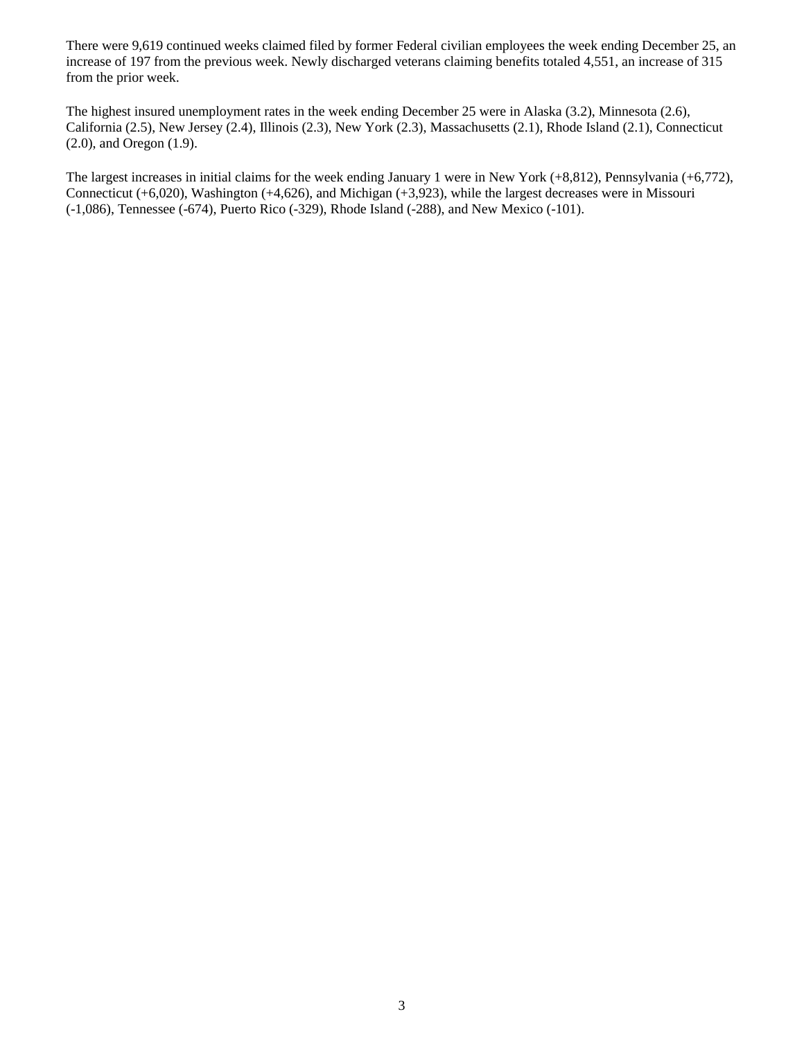There were 9,619 continued weeks claimed filed by former Federal civilian employees the week ending December 25, an increase of 197 from the previous week. Newly discharged veterans claiming benefits totaled 4,551, an increase of 315 from the prior week.

The highest insured unemployment rates in the week ending December 25 were in Alaska (3.2), Minnesota (2.6), California (2.5), New Jersey (2.4), Illinois (2.3), New York (2.3), Massachusetts (2.1), Rhode Island (2.1), Connecticut (2.0), and Oregon (1.9).

The largest increases in initial claims for the week ending January 1 were in New York (+8,812), Pennsylvania (+6,772), Connecticut (+6,020), Washington (+4,626), and Michigan (+3,923), while the largest decreases were in Missouri (-1,086), Tennessee (-674), Puerto Rico (-329), Rhode Island (-288), and New Mexico (-101).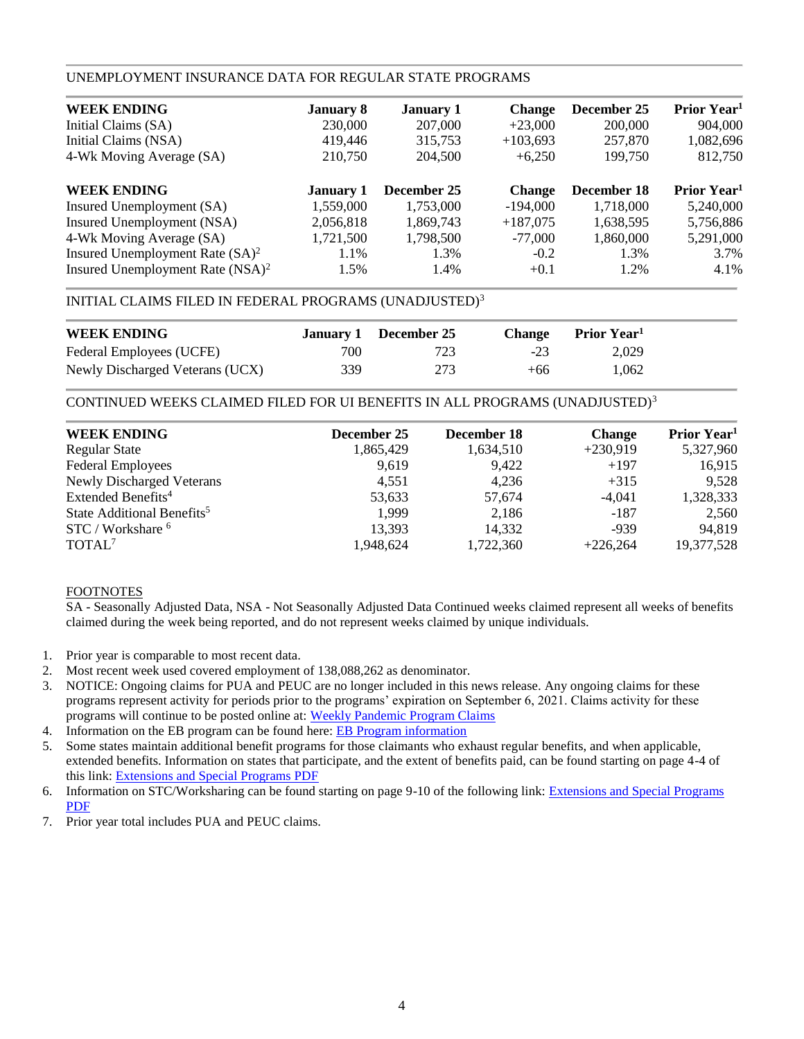### UNEMPLOYMENT INSURANCE DATA FOR REGULAR STATE PROGRAMS

| <b>WEEK ENDING</b>                           | <b>January 8</b> | <b>January 1</b> | <b>Change</b> | December 25 | Prior Year <sup>1</sup> |
|----------------------------------------------|------------------|------------------|---------------|-------------|-------------------------|
| Initial Claims (SA)                          | 230,000          | 207,000          | $+23,000$     | 200,000     | 904,000                 |
| Initial Claims (NSA)                         | 419,446          | 315,753          | $+103,693$    | 257,870     | 1,082,696               |
| 4-Wk Moving Average (SA)                     | 210,750          | 204,500          | $+6,250$      | 199.750     | 812,750                 |
| <b>WEEK ENDING</b>                           | <b>January 1</b> | December 25      | <b>Change</b> | December 18 | Prior Year <sup>1</sup> |
| Insured Unemployment (SA)                    | 1,559,000        | 1,753,000        | $-194,000$    | 1,718,000   | 5,240,000               |
| Insured Unemployment (NSA)                   | 2,056,818        | 1,869,743        | $+187,075$    | 1,638,595   | 5,756,886               |
| 4-Wk Moving Average (SA)                     | 1,721,500        | 1,798,500        | $-77.000$     | 1,860,000   | 5,291,000               |
| Insured Unemployment Rate $(SA)^2$           | 1.1%             | 1.3%             | $-0.2$        | 1.3%        | 3.7%                    |
| Insured Unemployment Rate (NSA) <sup>2</sup> | 1.5%             | 1.4%             | $+0.1$        | 1.2%        | 4.1%                    |

### INITIAL CLAIMS FILED IN FEDERAL PROGRAMS (UNADJUSTED)<sup>3</sup>

| <b>WEEK ENDING</b>              |      | January 1 December 25 | <b>Change</b> | Prior Year <sup>1</sup> |
|---------------------------------|------|-----------------------|---------------|-------------------------|
| Federal Employees (UCFE)        | 700- | 723                   | $-23$         | 2.029                   |
| Newly Discharged Veterans (UCX) | 339  | 273                   | $+66$         | 1.062                   |

### CONTINUED WEEKS CLAIMED FILED FOR UI BENEFITS IN ALL PROGRAMS (UNADJUSTED)<sup>3</sup>

| <b>WEEK ENDING</b>                     | December 25 | December 18 | <b>Change</b> | Prior Year <sup>1</sup> |
|----------------------------------------|-------------|-------------|---------------|-------------------------|
| <b>Regular State</b>                   | 1,865,429   | 1,634,510   | $+230,919$    | 5,327,960               |
| <b>Federal Employees</b>               | 9,619       | 9,422       | $+197$        | 16,915                  |
| Newly Discharged Veterans              | 4,551       | 4.236       | $+315$        | 9,528                   |
| Extended Benefits <sup>4</sup>         | 53,633      | 57,674      | $-4.041$      | 1,328,333               |
| State Additional Benefits <sup>5</sup> | 1,999       | 2,186       | $-187$        | 2,560                   |
| STC / Workshare <sup>6</sup>           | 13,393      | 14,332      | $-939$        | 94,819                  |
| TOTAL <sup>7</sup>                     | 1,948,624   | 1,722,360   | $+226.264$    | 19,377,528              |

### FOOTNOTES

SA - Seasonally Adjusted Data, NSA - Not Seasonally Adjusted Data Continued weeks claimed represent all weeks of benefits claimed during the week being reported, and do not represent weeks claimed by unique individuals.

- 1. Prior year is comparable to most recent data.
- 2. Most recent week used covered employment of 138,088,262 as denominator.
- 3. NOTICE: Ongoing claims for PUA and PEUC are no longer included in this news release. Any ongoing claims for these programs represent activity for periods prior to the programs' expiration on September 6, 2021. Claims activity for these programs will continue to be posted online at: [Weekly Pandemic Program Claims](https://oui.doleta.gov/unemploy/docs/weekly_pandemic_claims.xlsx)
- 4. Information on the EB program can be found here: [EB Program information](https://oui.doleta.gov/unemploy/extenben.asp)
- 5. Some states maintain additional benefit programs for those claimants who exhaust regular benefits, and when applicable, extended benefits. Information on states that participate, and the extent of benefits paid, can be found starting on page 4-4 of this link: [Extensions and Special Programs PDF](https://oui.doleta.gov/unemploy/pdf/uilawcompar/2020/special.pdf#page=4)
- 6. Information on STC/Worksharing can be found starting on page 9-10 of the following link: [Extensions and Special Programs](https://oui.doleta.gov/unemploy/pdf/uilawcompar/2020/special.pdf#page=9)  [PDF](https://oui.doleta.gov/unemploy/pdf/uilawcompar/2020/special.pdf#page=9)
- 7. Prior year total includes PUA and PEUC claims.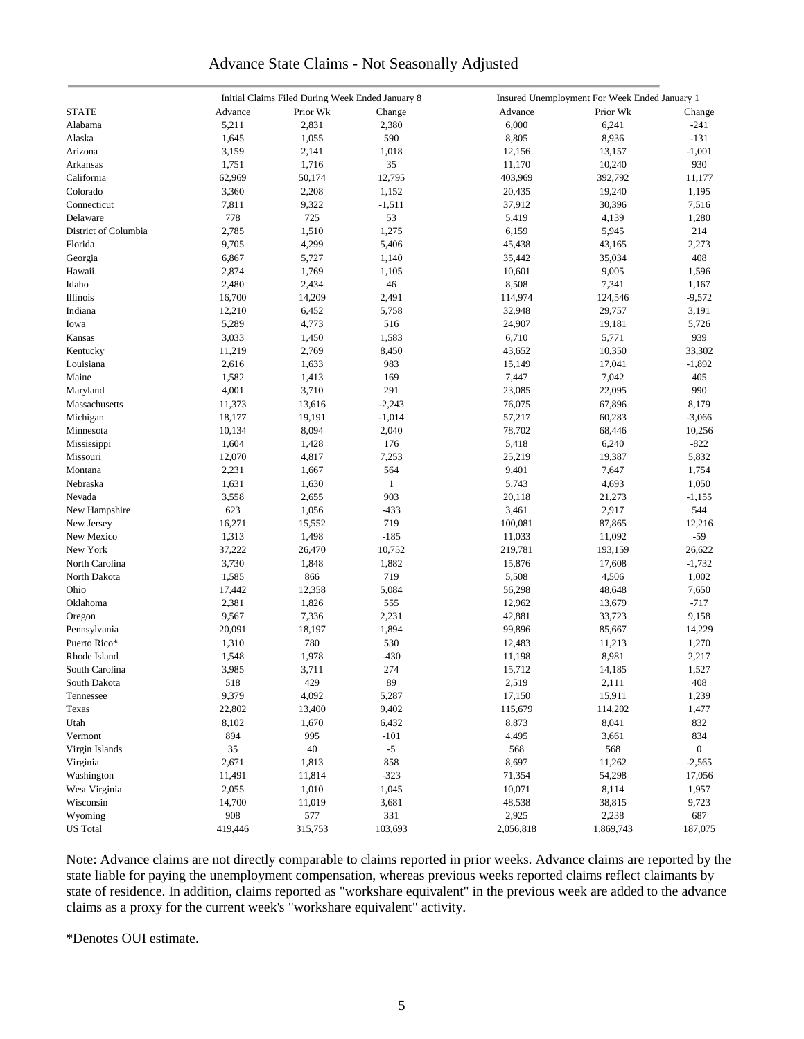# Advance State Claims - Not Seasonally Adjusted

|                      |         | Initial Claims Filed During Week Ended January 8 |              |           | Insured Unemployment For Week Ended January 1 |                |
|----------------------|---------|--------------------------------------------------|--------------|-----------|-----------------------------------------------|----------------|
| <b>STATE</b>         | Advance | Prior Wk                                         | Change       | Advance   | Prior Wk                                      | Change         |
| Alabama              | 5,211   | 2,831                                            | 2,380        | 6,000     | 6,241                                         | $-241$         |
| Alaska               | 1,645   | 1,055                                            | 590          | 8,805     | 8,936                                         | $-131$         |
| Arizona              | 3,159   | 2,141                                            | 1,018        | 12,156    | 13,157                                        | $-1,001$       |
| Arkansas             | 1,751   | 1,716                                            | 35           | 11,170    | 10,240                                        | 930            |
| California           | 62,969  | 50,174                                           | 12,795       | 403,969   | 392,792                                       | 11,177         |
| Colorado             | 3,360   | 2,208                                            | 1,152        | 20,435    | 19,240                                        | 1,195          |
| Connecticut          | 7,811   | 9,322                                            | $-1,511$     | 37,912    | 30,396                                        | 7,516          |
| Delaware             | 778     | 725                                              | 53           | 5,419     | 4,139                                         | 1,280          |
|                      |         | 1,510                                            |              |           |                                               |                |
| District of Columbia | 2,785   |                                                  | 1,275        | 6,159     | 5,945                                         | 214            |
| Florida              | 9,705   | 4,299                                            | 5,406        | 45,438    | 43,165                                        | 2,273          |
| Georgia              | 6,867   | 5,727                                            | 1,140        | 35,442    | 35,034                                        | 408            |
| Hawaii               | 2,874   | 1,769                                            | 1,105        | 10,601    | 9,005                                         | 1,596          |
| Idaho                | 2,480   | 2,434                                            | 46           | 8,508     | 7,341                                         | 1,167          |
| Illinois             | 16,700  | 14,209                                           | 2,491        | 114,974   | 124,546                                       | $-9,572$       |
| Indiana              | 12,210  | 6,452                                            | 5,758        | 32,948    | 29,757                                        | 3,191          |
| Iowa                 | 5,289   | 4,773                                            | 516          | 24,907    | 19,181                                        | 5,726          |
| Kansas               | 3,033   | 1,450                                            | 1,583        | 6,710     | 5,771                                         | 939            |
| Kentucky             | 11,219  | 2,769                                            | 8,450        | 43,652    | 10,350                                        | 33,302         |
| Louisiana            | 2,616   | 1,633                                            | 983          | 15,149    | 17,041                                        | $-1,892$       |
| Maine                | 1,582   | 1,413                                            | 169          | 7,447     | 7,042                                         | 405            |
| Maryland             | 4,001   | 3,710                                            | 291          | 23,085    | 22,095                                        | 990            |
| Massachusetts        | 11,373  | 13,616                                           | $-2,243$     | 76,075    | 67,896                                        | 8,179          |
| Michigan             | 18,177  | 19,191                                           | $-1,014$     | 57,217    | 60,283                                        | $-3,066$       |
| Minnesota            | 10,134  | 8,094                                            | 2,040        | 78,702    | 68,446                                        | 10,256         |
| Mississippi          | 1,604   | 1,428                                            | 176          | 5,418     | 6,240                                         | $-822$         |
| Missouri             | 12,070  | 4,817                                            | 7,253        | 25,219    | 19,387                                        | 5,832          |
| Montana              | 2,231   | 1,667                                            | 564          | 9,401     | 7,647                                         | 1,754          |
| Nebraska             | 1,631   | 1,630                                            | $\mathbf{1}$ | 5,743     | 4,693                                         | 1,050          |
| Nevada               | 3,558   | 2,655                                            | 903          | 20,118    | 21,273                                        | $-1,155$       |
| New Hampshire        | 623     | 1,056                                            | $-433$       | 3,461     | 2,917                                         | 544            |
| New Jersey           | 16,271  | 15,552                                           | 719          | 100,081   | 87,865                                        | 12,216         |
| New Mexico           | 1,313   | 1,498                                            | $-185$       | 11,033    | 11,092                                        | $-59$          |
| New York             | 37,222  | 26,470                                           | 10,752       | 219,781   | 193,159                                       | 26,622         |
| North Carolina       | 3,730   | 1,848                                            | 1,882        | 15,876    | 17,608                                        | $-1,732$       |
|                      |         |                                                  | 719          |           |                                               |                |
| North Dakota         | 1,585   | 866                                              |              | 5,508     | 4,506                                         | 1,002          |
| Ohio                 | 17,442  | 12,358                                           | 5,084        | 56,298    | 48,648                                        | 7,650          |
| Oklahoma             | 2,381   | 1,826                                            | 555          | 12,962    | 13,679                                        | $-717$         |
| Oregon               | 9,567   | 7,336                                            | 2,231        | 42,881    | 33,723                                        | 9,158          |
| Pennsylvania         | 20,091  | 18,197                                           | 1,894        | 99,896    | 85,667                                        | 14,229         |
| Puerto Rico*         | 1,310   | 780                                              | 530          | 12,483    | 11,213                                        | 1,270          |
| Rhode Island         | 1,548   | 1,978                                            | $-430$       | 11,198    | 8,981                                         | 2,217          |
| South Carolina       | 3,985   | 3,711                                            | 274          | 15,712    | 14,185                                        | 1,527          |
| South Dakota         | 518     | 429                                              | 89           | 2,519     | 2,111                                         | 408            |
| Tennessee            | 9,379   | 4,092                                            | 5,287        | 17,150    | 15,911                                        | 1,239          |
| Texas                | 22,802  | 13,400                                           | 9,402        | 115,679   | 114,202                                       | 1,477          |
| Utah                 | 8,102   | 1,670                                            | 6,432        | 8,873     | 8,041                                         | 832            |
| Vermont              | 894     | 995                                              | $-101$       | 4,495     | 3,661                                         | 834            |
| Virgin Islands       | 35      | 40                                               | $-5$         | 568       | 568                                           | $\overline{0}$ |
| Virginia             | 2,671   | 1,813                                            | 858          | 8,697     | 11,262                                        | $-2,565$       |
| Washington           | 11,491  | 11,814                                           | $-323$       | 71,354    | 54,298                                        | 17,056         |
| West Virginia        | 2,055   | 1,010                                            | 1,045        | 10,071    | 8,114                                         | 1,957          |
| Wisconsin            | 14,700  | 11,019                                           | 3,681        | 48,538    | 38,815                                        | 9,723          |
| Wyoming              | 908     | 577                                              | 331          | 2,925     | 2,238                                         | 687            |
| <b>US</b> Total      | 419,446 | 315,753                                          | 103,693      | 2,056,818 | 1,869,743                                     | 187,075        |
|                      |         |                                                  |              |           |                                               |                |

Note: Advance claims are not directly comparable to claims reported in prior weeks. Advance claims are reported by the state liable for paying the unemployment compensation, whereas previous weeks reported claims reflect claimants by state of residence. In addition, claims reported as "workshare equivalent" in the previous week are added to the advance claims as a proxy for the current week's "workshare equivalent" activity.

\*Denotes OUI estimate.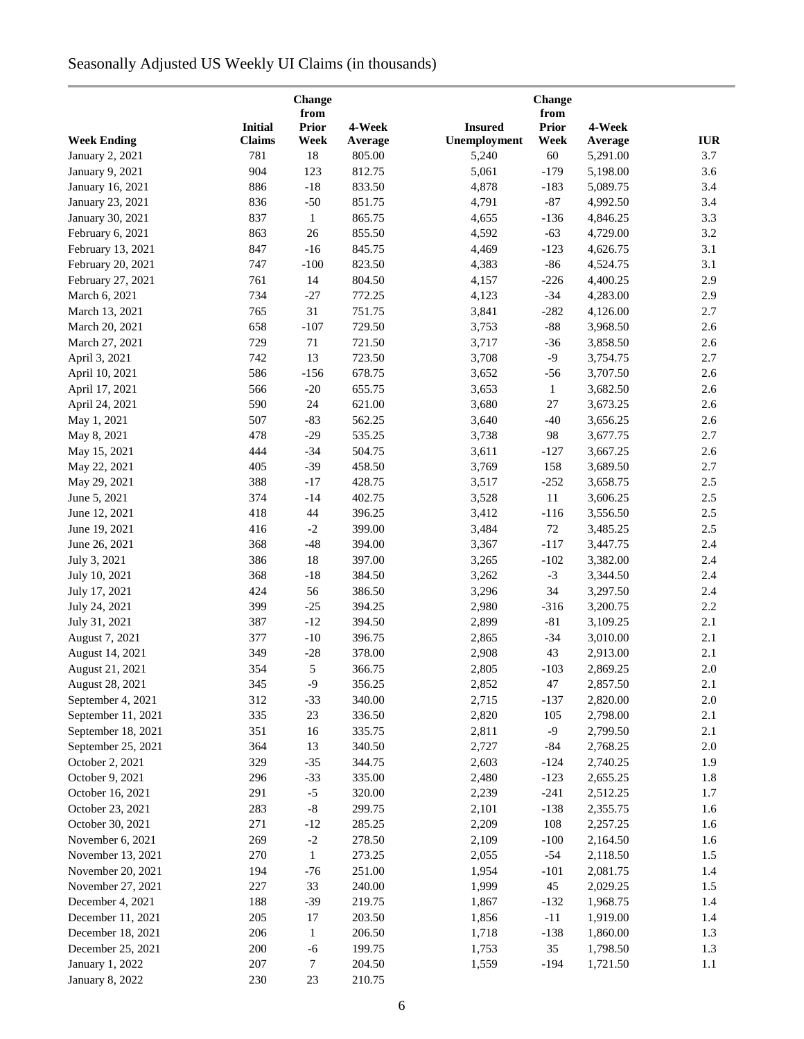# Seasonally Adjusted US Weekly UI Claims (in thousands)

| Change             |                |                      |         |                |                      |          |            |
|--------------------|----------------|----------------------|---------|----------------|----------------------|----------|------------|
|                    | <b>Initial</b> | from<br><b>Prior</b> | 4-Week  | <b>Insured</b> | from<br><b>Prior</b> | 4-Week   |            |
| <b>Week Ending</b> | <b>Claims</b>  | Week                 | Average | Unemployment   | Week                 | Average  | <b>IUR</b> |
| January 2, 2021    | 781            | 18                   | 805.00  | 5,240          | 60                   | 5,291.00 | 3.7        |
| January 9, 2021    | 904            | 123                  | 812.75  | 5,061          | $-179$               | 5,198.00 | 3.6        |
| January 16, 2021   | 886            | $-18$                | 833.50  | 4,878          | $-183$               | 5,089.75 | 3.4        |
| January 23, 2021   | 836            | $-50$                | 851.75  | 4,791          | $-87$                | 4,992.50 | 3.4        |
| January 30, 2021   | 837            | $\mathbf{1}$         | 865.75  | 4,655          | $-136$               | 4,846.25 | 3.3        |
| February 6, 2021   | 863            | 26                   | 855.50  | 4,592          | $-63$                | 4,729.00 | 3.2        |
| February 13, 2021  | 847            | $-16$                | 845.75  | 4,469          | $-123$               | 4,626.75 | 3.1        |
| February 20, 2021  | 747            | $-100$               | 823.50  | 4,383          | $-86$                | 4,524.75 | 3.1        |
| February 27, 2021  | 761            | 14                   | 804.50  | 4,157          | $-226$               | 4,400.25 | 2.9        |
| March 6, 2021      | 734            | $-27$                | 772.25  | 4,123          | $-34$                | 4,283.00 | 2.9        |
| March 13, 2021     | 765            | 31                   | 751.75  | 3,841          | $-282$               | 4,126.00 | 2.7        |
| March 20, 2021     | 658            | $-107$               | 729.50  | 3,753          | $-88$                | 3,968.50 | 2.6        |
| March 27, 2021     | 729            | 71                   | 721.50  | 3,717          | $-36$                | 3,858.50 | 2.6        |
| April 3, 2021      | 742            | 13                   | 723.50  | 3,708          | $-9$                 | 3,754.75 | 2.7        |
| April 10, 2021     | 586            | $-156$               | 678.75  | 3,652          | $-56$                | 3,707.50 | 2.6        |
| April 17, 2021     | 566            | $-20$                | 655.75  | 3,653          | $\mathbf{1}$         | 3,682.50 | 2.6        |
|                    | 590            | 24                   | 621.00  | 3,680          | 27                   |          | 2.6        |
| April 24, 2021     | 507            | $-83$                | 562.25  | 3,640          |                      | 3,673.25 | 2.6        |
| May 1, 2021        |                |                      |         |                | $-40$                | 3,656.25 |            |
| May 8, 2021        | 478            | $-29$                | 535.25  | 3,738          | 98                   | 3,677.75 | 2.7        |
| May 15, 2021       | 444            | $-34$                | 504.75  | 3,611          | $-127$               | 3,667.25 | 2.6        |
| May 22, 2021       | 405            | $-39$                | 458.50  | 3,769          | 158                  | 3,689.50 | 2.7        |
| May 29, 2021       | 388            | $-17$                | 428.75  | 3,517          | $-252$               | 3,658.75 | 2.5        |
| June 5, 2021       | 374            | $-14$                | 402.75  | 3,528          | $11\,$               | 3,606.25 | 2.5        |
| June 12, 2021      | 418            | 44                   | 396.25  | 3,412          | $-116$               | 3,556.50 | 2.5        |
| June 19, 2021      | 416            | $-2$                 | 399.00  | 3,484          | 72                   | 3,485.25 | 2.5        |
| June 26, 2021      | 368            | $-48$                | 394.00  | 3,367          | $-117$               | 3,447.75 | 2.4        |
| July 3, 2021       | 386            | 18                   | 397.00  | 3,265          | $-102$               | 3,382.00 | 2.4        |
| July 10, 2021      | 368            | $-18$                | 384.50  | 3,262          | $-3$                 | 3,344.50 | 2.4        |
| July 17, 2021      | 424            | 56                   | 386.50  | 3,296          | 34                   | 3,297.50 | 2.4        |
| July 24, 2021      | 399            | $-25$                | 394.25  | 2,980          | $-316$               | 3,200.75 | 2.2        |
| July 31, 2021      | 387            | $-12$                | 394.50  | 2,899          | $-81$                | 3,109.25 | 2.1        |
| August 7, 2021     | 377            | $-10$                | 396.75  | 2,865          | $-34$                | 3,010.00 | 2.1        |
| August 14, 2021    | 349            | $-28$                | 378.00  | 2,908          | 43                   | 2,913.00 | 2.1        |
| August 21, 2021    | 354            | $\sqrt{5}$           | 366.75  | 2,805          | $-103$               | 2,869.25 | $2.0\,$    |
| August 28, 2021    | 345            | $-9$                 | 356.25  | 2,852          | 47                   | 2,857.50 | 2.1        |
| September 4, 2021  | 312            | $-33$                | 340.00  | 2,715          | $-137$               | 2,820.00 | $2.0\,$    |
| September 11, 2021 | 335            | 23                   | 336.50  | 2,820          | 105                  | 2,798.00 | 2.1        |
| September 18, 2021 | 351            | 16                   | 335.75  | 2,811          | $-9$                 | 2,799.50 | 2.1        |
| September 25, 2021 | 364            | 13                   | 340.50  | 2,727          | $-84$                | 2,768.25 | $2.0\,$    |
| October 2, 2021    | 329            | $-35$                | 344.75  | 2,603          | $-124$               | 2,740.25 | 1.9        |
| October 9, 2021    | 296            | $-33$                | 335.00  | 2,480          | $-123$               | 2,655.25 | 1.8        |
| October 16, 2021   | 291            | $-5$                 | 320.00  | 2,239          | $-241$               | 2,512.25 | 1.7        |
| October 23, 2021   | 283            | $\mbox{-}8$          | 299.75  | 2,101          | $-138$               | 2,355.75 | 1.6        |
| October 30, 2021   | 271            | $-12$                | 285.25  | 2,209          | 108                  | 2,257.25 | 1.6        |
| November 6, 2021   | 269            | $-2$                 | 278.50  | 2,109          | $-100$               | 2,164.50 | 1.6        |
| November 13, 2021  | 270            | 1                    | 273.25  | 2,055          | $-54$                | 2,118.50 | 1.5        |
| November 20, 2021  | 194            | $-76$                | 251.00  | 1,954          | $-101$               | 2,081.75 | 1.4        |
| November 27, 2021  | 227            | 33                   | 240.00  | 1,999          | 45                   | 2,029.25 | 1.5        |
| December 4, 2021   | 188            | $-39$                | 219.75  | 1,867          | $-132$               | 1,968.75 | 1.4        |
| December 11, 2021  | 205            | 17                   | 203.50  | 1,856          | $-11$                | 1,919.00 | 1.4        |
| December 18, 2021  | 206            | 1                    | 206.50  | 1,718          | $-138$               | 1,860.00 | 1.3        |
| December 25, 2021  | 200            | $-6$                 | 199.75  | 1,753          | 35                   | 1,798.50 | 1.3        |
| January 1, 2022    | 207            | $\tau$               | 204.50  | 1,559          | $-194$               | 1,721.50 | $1.1\,$    |
| January 8, 2022    | 230            | 23                   | 210.75  |                |                      |          |            |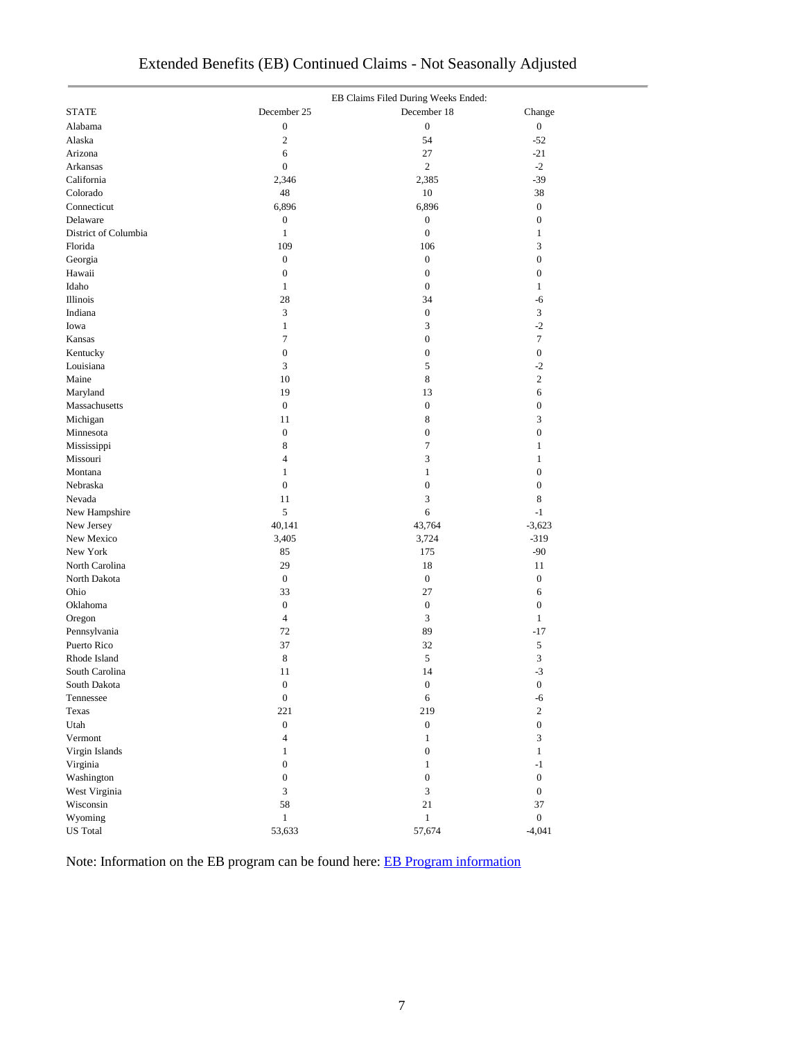|                      | EB Claims Filed During Weeks Ended: |                  |                  |  |  |  |  |
|----------------------|-------------------------------------|------------------|------------------|--|--|--|--|
| <b>STATE</b>         | December 25                         | December 18      | Change           |  |  |  |  |
| Alabama              | $\boldsymbol{0}$                    | $\mathbf{0}$     | $\boldsymbol{0}$ |  |  |  |  |
| Alaska               | $\mathfrak{2}$                      | 54               | $-52$            |  |  |  |  |
| Arizona              | 6                                   | 27               | $-21$            |  |  |  |  |
| Arkansas             | $\mathbf{0}$                        | $\mathfrak{2}$   | $-2$             |  |  |  |  |
| California           | 2,346                               | 2,385            | $-39$            |  |  |  |  |
| Colorado             | 48                                  | 10               | 38               |  |  |  |  |
| Connecticut          | 6,896                               | 6,896            | $\boldsymbol{0}$ |  |  |  |  |
| Delaware             | $\boldsymbol{0}$                    | $\boldsymbol{0}$ | $\boldsymbol{0}$ |  |  |  |  |
| District of Columbia | $\mathbf{1}$                        | $\boldsymbol{0}$ | $\mathbf{1}$     |  |  |  |  |
| Florida              | 109                                 | 106              | 3                |  |  |  |  |
| Georgia              | $\boldsymbol{0}$                    | $\boldsymbol{0}$ | $\boldsymbol{0}$ |  |  |  |  |
| Hawaii               | $\boldsymbol{0}$                    | $\boldsymbol{0}$ | $\boldsymbol{0}$ |  |  |  |  |
| Idaho                | $\mathbf{1}$                        | $\boldsymbol{0}$ | $\mathbf{1}$     |  |  |  |  |
| Illinois             | 28                                  | 34               | -6               |  |  |  |  |
| Indiana              | 3                                   | $\boldsymbol{0}$ | 3                |  |  |  |  |
| Iowa                 | $\mathbf{1}$                        | 3                | $-2$             |  |  |  |  |
| Kansas               | $\tau$                              | $\boldsymbol{0}$ | $\overline{7}$   |  |  |  |  |
| Kentucky             | $\boldsymbol{0}$                    | $\boldsymbol{0}$ | $\boldsymbol{0}$ |  |  |  |  |
| Louisiana            | $\mathfrak{Z}$                      | 5                | $-2$             |  |  |  |  |
|                      | 10                                  | $\,$ 8 $\,$      | $\overline{c}$   |  |  |  |  |
| Maine                |                                     |                  |                  |  |  |  |  |
| Maryland             | 19                                  | 13               | 6                |  |  |  |  |
| Massachusetts        | $\boldsymbol{0}$                    | $\boldsymbol{0}$ | $\boldsymbol{0}$ |  |  |  |  |
| Michigan             | 11                                  | $\,$ 8 $\,$      | 3                |  |  |  |  |
| Minnesota            | $\boldsymbol{0}$                    | $\boldsymbol{0}$ | $\boldsymbol{0}$ |  |  |  |  |
| Mississippi          | 8                                   | $\boldsymbol{7}$ | $\mathbf{1}$     |  |  |  |  |
| Missouri             | $\overline{4}$                      | 3                | $\mathbf{1}$     |  |  |  |  |
| Montana              | $\mathbf{1}$                        | $\mathbf{1}$     | $\boldsymbol{0}$ |  |  |  |  |
| Nebraska             | $\boldsymbol{0}$                    | $\boldsymbol{0}$ | $\boldsymbol{0}$ |  |  |  |  |
| Nevada               | 11                                  | 3                | $\,$ 8 $\,$      |  |  |  |  |
| New Hampshire        | 5                                   | $\sqrt{6}$       | $-1$             |  |  |  |  |
| New Jersey           | 40,141                              | 43,764           | $-3,623$         |  |  |  |  |
| New Mexico           | 3,405                               | 3,724            | $-319$           |  |  |  |  |
| New York             | 85                                  | 175              | $-90$            |  |  |  |  |
| North Carolina       | 29                                  | 18               | 11               |  |  |  |  |
| North Dakota         | $\boldsymbol{0}$                    | $\boldsymbol{0}$ | $\boldsymbol{0}$ |  |  |  |  |
| Ohio                 | 33                                  | 27               | 6                |  |  |  |  |
| Oklahoma             | $\boldsymbol{0}$                    | $\boldsymbol{0}$ | $\boldsymbol{0}$ |  |  |  |  |
| Oregon               | $\overline{4}$                      | 3                | $\mathbf{1}$     |  |  |  |  |
| Pennsylvania         | 72                                  | 89               | $-17$            |  |  |  |  |
| Puerto Rico          | 37                                  | 32               | $\sqrt{5}$       |  |  |  |  |
| Rhode Island         | 8                                   | 5                | 3                |  |  |  |  |
| South Carolina       | 11                                  | 14               | $-3$             |  |  |  |  |
| South Dakota         | $\boldsymbol{0}$                    | $\boldsymbol{0}$ | $\boldsymbol{0}$ |  |  |  |  |
| Tennessee            | $\boldsymbol{0}$                    | $\sqrt{6}$       | -6               |  |  |  |  |
| Texas                | 221                                 | 219              | $\sqrt{2}$       |  |  |  |  |
| Utah                 | $\boldsymbol{0}$                    | $\boldsymbol{0}$ | $\boldsymbol{0}$ |  |  |  |  |
| Vermont              | $\overline{4}$                      | $\mathbf{1}$     | 3                |  |  |  |  |
| Virgin Islands       | $\mathbf{1}$                        | $\boldsymbol{0}$ | $\mathbf{1}$     |  |  |  |  |
| Virginia             | $\boldsymbol{0}$                    | $\mathbf{1}$     | $-1$             |  |  |  |  |
| Washington           | $\boldsymbol{0}$                    | $\boldsymbol{0}$ | $\boldsymbol{0}$ |  |  |  |  |
| West Virginia        | $\mathfrak{Z}$                      | $\mathfrak{Z}$   | $\boldsymbol{0}$ |  |  |  |  |
| Wisconsin            | 58                                  | 21               | 37               |  |  |  |  |
| Wyoming              | $\,1$                               | $\mathbf{1}$     | $\boldsymbol{0}$ |  |  |  |  |
| <b>US</b> Total      | 53,633                              | 57,674           | $-4,041$         |  |  |  |  |
|                      |                                     |                  |                  |  |  |  |  |

# Extended Benefits (EB) Continued Claims - Not Seasonally Adjusted

Note: Information on the EB program can be found here: [EB Program information](https://oui.doleta.gov/unemploy/extenben.asp)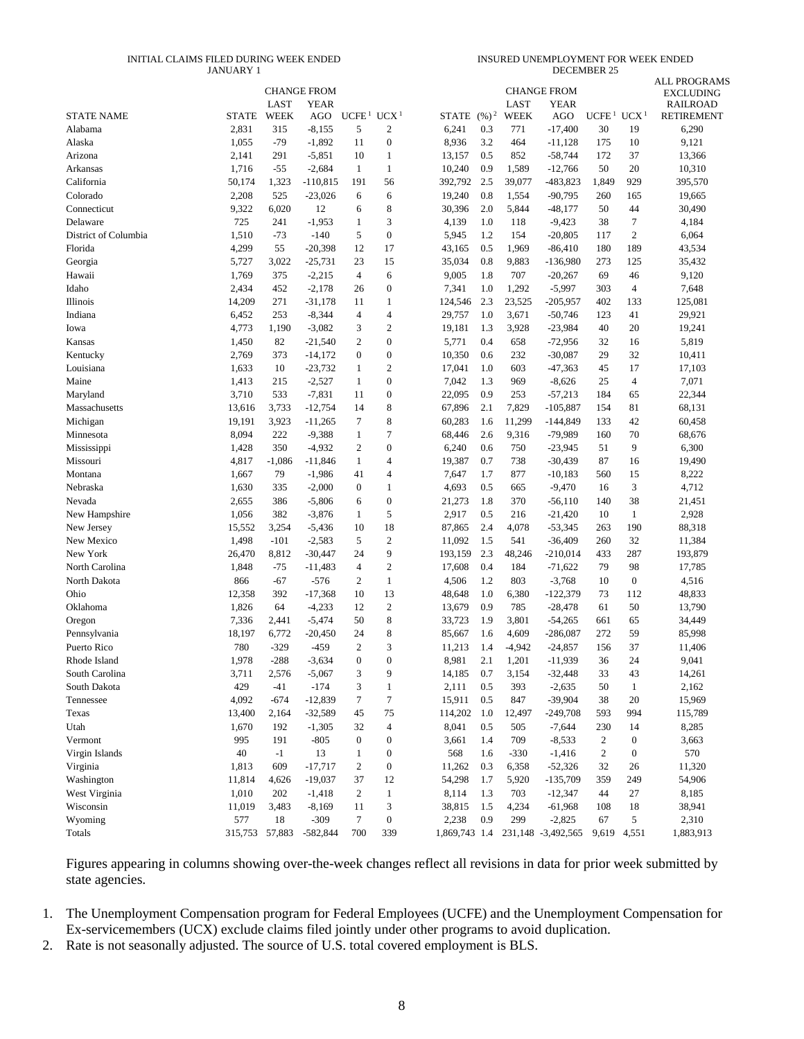#### INITIAL CLAIMS FILED DURING WEEK ENDED JANUARY 1

INSURED UNEMPLOYMENT FOR WEEK ENDED DECEMBER 25

|                      |                |          |                                   |                   |                          |               |         |          |                                   |                                    |                  | ALL PROGRAMS                        |
|----------------------|----------------|----------|-----------------------------------|-------------------|--------------------------|---------------|---------|----------|-----------------------------------|------------------------------------|------------------|-------------------------------------|
|                      |                | LAST     | <b>CHANGE FROM</b><br><b>YEAR</b> |                   |                          |               |         | LAST     | <b>CHANGE FROM</b><br><b>YEAR</b> |                                    |                  | <b>EXCLUDING</b><br><b>RAILROAD</b> |
| <b>STATE NAME</b>    | <b>STATE</b>   | WEEK     | AGO                               | UCFE <sup>1</sup> | UCX <sup>1</sup>         | <b>STATE</b>  | $(%)^2$ | WEEK     | AGO                               | UCFE <sup>1</sup> UCX <sup>1</sup> |                  | <b>RETIREMENT</b>                   |
| Alabama              | 2,831          | 315      | $-8,155$                          | 5                 | $\boldsymbol{2}$         | 6,241         | 0.3     | 771      | $-17,400$                         | 30                                 | 19               | 6,290                               |
| Alaska               | 1,055          | $-79$    | $-1,892$                          | 11                | $\boldsymbol{0}$         | 8,936         | 3.2     | 464      | $-11,128$                         | 175                                | 10               | 9,121                               |
| Arizona              | 2,141          | 291      | $-5,851$                          | 10                | 1                        | 13,157        | 0.5     | 852      | $-58,744$                         | 172                                | 37               | 13,366                              |
| Arkansas             | 1,716          | $-55$    | $-2,684$                          | $\mathbf{1}$      | $\mathbf{1}$             | 10,240        | 0.9     | 1,589    | $-12,766$                         | 50                                 | 20               | 10,310                              |
| California           | 50,174         | 1,323    | $-110,815$                        | 191               | 56                       | 392,792       | 2.5     | 39,077   | -483,823                          | 1,849                              | 929              | 395,570                             |
| Colorado             | 2,208          | 525      | $-23,026$                         | 6                 | 6                        | 19,240        | 0.8     | 1,554    | $-90,795$                         | 260                                | 165              | 19,665                              |
| Connecticut          | 9,322          | 6,020    | 12                                | 6                 | 8                        | 30,396        | 2.0     | 5,844    | $-48,177$                         | 50                                 | 44               | 30,490                              |
| Delaware             | 725            | 241      | $-1,953$                          | 1                 | 3                        | 4,139         | 1.0     | 118      | $-9,423$                          | 38                                 | 7                | 4,184                               |
| District of Columbia | 1,510          | $-73$    | $-140$                            | 5                 | $\boldsymbol{0}$         | 5,945         | 1.2     | 154      | $-20,805$                         | 117                                | $\overline{c}$   | 6,064                               |
| Florida              | 4,299          | 55       | $-20,398$                         | 12                | 17                       | 43,165        | 0.5     | 1,969    | $-86,410$                         | 180                                | 189              | 43,534                              |
| Georgia              | 5,727          | 3,022    | $-25,731$                         | 23                | 15                       | 35,034        | 0.8     | 9,883    | $-136,980$                        | 273                                | 125              | 35,432                              |
| Hawaii               | 1,769          | 375      | $-2,215$                          | $\overline{4}$    | 6                        | 9,005         | 1.8     | 707      | $-20,267$                         | 69                                 | 46               | 9,120                               |
| Idaho                | 2,434          | 452      | $-2,178$                          | 26                | $\boldsymbol{0}$         | 7,341         | 1.0     | 1,292    | $-5,997$                          | 303                                | $\overline{4}$   | 7,648                               |
| Illinois             | 14,209         | 271      | $-31,178$                         | 11                | 1                        | 124,546       | 2.3     | 23,525   | $-205,957$                        | 402                                | 133              | 125,081                             |
| Indiana              | 6,452          | 253      | $-8,344$                          | $\overline{4}$    | $\overline{4}$           | 29,757        | 1.0     | 3,671    | $-50,746$                         | 123                                | 41               | 29,921                              |
| Iowa                 | 4,773          | 1,190    | $-3,082$                          | 3                 | $\boldsymbol{2}$         | 19,181        | 1.3     | 3,928    | $-23,984$                         | 40                                 | 20               | 19,241                              |
| Kansas               | 1,450          | 82       | $-21,540$                         | $\mathfrak{2}$    | $\boldsymbol{0}$         | 5,771         | 0.4     | 658      | $-72,956$                         | 32                                 | 16               | 5,819                               |
| Kentucky             | 2,769          | 373      | $-14,172$                         | $\mathbf{0}$      | $\boldsymbol{0}$         | 10,350        | 0.6     | 232      | $-30,087$                         | 29                                 | 32               | 10,411                              |
| Louisiana            | 1,633          | 10       | $-23,732$                         | $\mathbf{1}$      | $\boldsymbol{2}$         | 17,041        | 1.0     | 603      | $-47,363$                         | 45                                 | 17               | 17,103                              |
| Maine                | 1,413          | 215      | $-2,527$                          | $\mathbf{1}$      | $\boldsymbol{0}$         | 7,042         | 1.3     | 969      | $-8,626$                          | 25                                 | 4                | 7,071                               |
| Maryland             | 3,710          | 533      | $-7,831$                          | 11                | $\boldsymbol{0}$         | 22,095        | 0.9     | 253      | $-57,213$                         | 184                                | 65               | 22,344                              |
| Massachusetts        | 13,616         | 3,733    | $-12,754$                         | 14                | 8                        | 67,896        | 2.1     | 7,829    | $-105,887$                        | 154                                | 81               | 68,131                              |
| Michigan             | 19,191         | 3,923    | $-11,265$                         | 7                 | 8                        | 60,283        | 1.6     | 11,299   | $-144,849$                        | 133                                | 42               | 60,458                              |
| Minnesota            | 8,094          | 222      | $-9,388$                          | $\mathbf{1}$      | 7                        | 68,446        | 2.6     | 9,316    | -79,989                           | 160                                | 70               | 68,676                              |
| Mississippi          | 1,428          | 350      | $-4,932$                          | $\mathfrak{2}$    | $\boldsymbol{0}$         | 6,240         | 0.6     | 750      | $-23,945$                         | 51                                 | 9                | 6,300                               |
| Missouri             | 4,817          | $-1,086$ | $-11,846$                         | $\mathbf{1}$      | $\overline{4}$           | 19,387        | 0.7     | 738      | $-30,439$                         | 87                                 | 16               | 19,490                              |
| Montana              | 1,667          | 79       | $-1,986$                          | 41                | $\overline{\mathcal{A}}$ | 7,647         | 1.7     | 877      | $-10,183$                         | 560                                | 15               | 8,222                               |
| Nebraska             | 1,630          | 335      | $-2,000$                          | $\bf{0}$          | 1                        | 4,693         | 0.5     | 665      | $-9,470$                          | 16                                 | 3                | 4,712                               |
| Nevada               | 2,655          | 386      | $-5,806$                          | 6                 | $\boldsymbol{0}$         | 21,273        | 1.8     | 370      | $-56,110$                         | 140                                | 38               | 21,451                              |
| New Hampshire        | 1,056          | 382      | $-3,876$                          | $\mathbf{1}$      | 5                        | 2,917         | 0.5     | 216      | $-21,420$                         | 10                                 | $\mathbf{1}$     | 2,928                               |
| New Jersey           | 15,552         | 3,254    | $-5,436$                          | 10                | 18                       | 87,865        | 2.4     | 4,078    | $-53,345$                         | 263                                | 190              | 88,318                              |
| New Mexico           | 1,498          | $-101$   | $-2,583$                          | 5                 | $\boldsymbol{2}$         | 11,092        | 1.5     | 541      | $-36,409$                         | 260                                | 32               | 11,384                              |
| New York             | 26,470         | 8,812    | $-30,447$                         | 24                | 9                        | 193,159       | 2.3     | 48,246   | $-210,014$                        | 433                                | 287              | 193,879                             |
| North Carolina       | 1,848          | $-75$    | $-11,483$                         | 4                 | $\sqrt{2}$               | 17,608        | 0.4     | 184      | $-71,622$                         | 79                                 | 98               | 17,785                              |
| North Dakota         | 866            | $-67$    | $-576$                            | $\mathfrak{2}$    | $\mathbf{1}$             | 4,506         | 1.2     | 803      | $-3,768$                          | 10                                 | $\boldsymbol{0}$ | 4,516                               |
| Ohio                 | 12,358         | 392      | $-17,368$                         | 10                | 13                       | 48,648        | 1.0     | 6,380    | $-122,379$                        | 73                                 | 112              | 48,833                              |
| Oklahoma             | 1,826          | 64       | $-4,233$                          | 12                | $\mathfrak{2}$           | 13,679        | 0.9     | 785      | $-28,478$                         | 61                                 | 50               | 13,790                              |
| Oregon               | 7,336          | 2,441    | $-5,474$                          | 50                | 8                        | 33,723        | 1.9     | 3,801    | $-54,265$                         | 661                                | 65               | 34,449                              |
| Pennsylvania         | 18,197         | 6,772    | -20,450                           | 24                | 8                        | 85,667        | 1.6     | 4,609    | $-286,087$                        | 272                                | 59               | 85,998                              |
| Puerto Rico          | 780            | $-329$   | $-459$                            | $\mathfrak{2}$    | 3                        | 11,213        | 1.4     | $-4,942$ | $-24,857$                         | 156                                | 37               | 11,406                              |
| Rhode Island         | 1,978          | $-288$   | $-3,634$                          | $\Omega$          | $\Omega$                 | 8,981         | 2.1     | 1,201    | $-11,939$                         | 36                                 | 24               | 9,041                               |
| South Carolina       | 3,711          | 2,576    | $-5,067$                          | 3                 | 9                        | 14,185        | 0.7     | 3,154    | $-32,448$                         | 33                                 | 43               | 14,261                              |
| South Dakota         | 429            | $-41$    | $-174$                            | 3                 | $\mathbf{1}$             | 2,111         | 0.5     | 393      | $-2,635$                          | 50                                 | $\mathbf{1}$     | 2,162                               |
| Tennessee            | 4,092          | $-674$   | $-12,839$                         | 7                 | $\boldsymbol{7}$         | 15,911        | 0.5     | 847      | $-39,904$                         | 38                                 | 20               | 15,969                              |
| Texas                | 13,400         | 2,164    | $-32,589$                         | 45                | 75                       | 114,202       | 1.0     | 12,497   | $-249,708$                        | 593                                | 994              | 115,789                             |
| Utah                 | 1,670          | 192      | $-1,305$                          | 32                | 4                        | 8,041         | 0.5     | 505      | $-7,644$                          | 230                                | 14               | 8,285                               |
| Vermont              | 995            | 191      | $-805$                            | $\boldsymbol{0}$  | $\boldsymbol{0}$         | 3,661         | 1.4     | 709      | $-8,533$                          | $\overline{\mathbf{c}}$            | $\boldsymbol{0}$ | 3,663                               |
| Virgin Islands       | 40             | $-1$     | 13                                | $\mathbf{1}$      | $\boldsymbol{0}$         | 568           | 1.6     | $-330$   | $-1,416$                          | $\boldsymbol{2}$                   | $\boldsymbol{0}$ | 570                                 |
| Virginia             | 1,813          | 609      | $-17,717$                         | $\mathfrak{2}$    | $\boldsymbol{0}$         | 11,262        | 0.3     | 6,358    | $-52,326$                         | 32                                 | 26               | 11,320                              |
| Washington           | 11,814         | 4,626    | $-19,037$                         | 37                | 12                       | 54,298        | 1.7     | 5,920    | $-135,709$                        | 359                                | 249              | 54,906                              |
| West Virginia        | 1,010          | 202      | $-1,418$                          | $\boldsymbol{2}$  | $\mathbf{1}$             | 8,114         | 1.3     | 703      | $-12,347$                         | 44                                 | 27               | 8,185                               |
| Wisconsin            | 11,019         | 3,483    | $-8,169$                          | 11                | 3                        | 38,815        | 1.5     | 4,234    | $-61,968$                         | 108                                | 18               | 38,941                              |
| Wyoming              | 577            | 18       | $-309$                            | 7                 | $\boldsymbol{0}$         | 2,238         | 0.9     | 299      | $-2,825$                          | 67                                 | 5                | 2,310                               |
| Totals               | 315,753 57,883 |          | $-582,844$                        | 700               | 339                      | 1,869,743 1.4 |         |          | 231,148 -3,492,565                | 9,619                              | 4,551            | 1,883,913                           |
|                      |                |          |                                   |                   |                          |               |         |          |                                   |                                    |                  |                                     |

Figures appearing in columns showing over-the-week changes reflect all revisions in data for prior week submitted by state agencies.

1. The Unemployment Compensation program for Federal Employees (UCFE) and the Unemployment Compensation for Ex-servicemembers (UCX) exclude claims filed jointly under other programs to avoid duplication.

2. Rate is not seasonally adjusted. The source of U.S. total covered employment is BLS.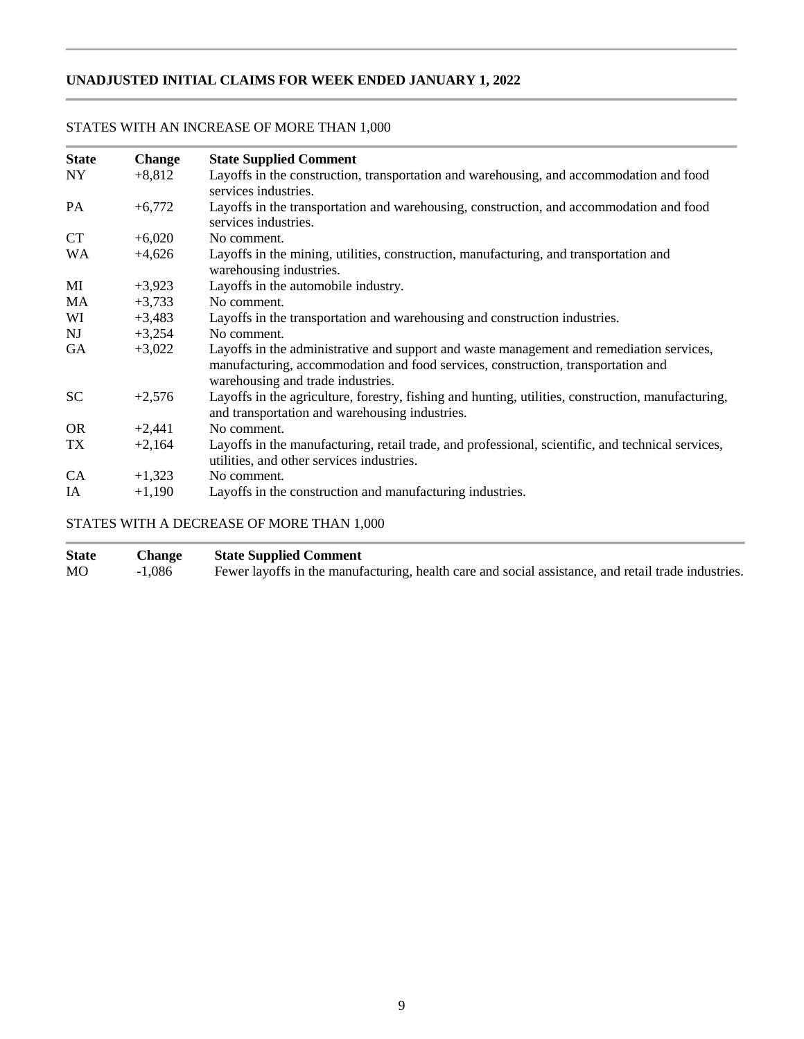# **UNADJUSTED INITIAL CLAIMS FOR WEEK ENDED JANUARY 1, 2022**

| <b>State</b> | <b>Change</b> | <b>State Supplied Comment</b>                                                                                                                                                                                     |
|--------------|---------------|-------------------------------------------------------------------------------------------------------------------------------------------------------------------------------------------------------------------|
| <b>NY</b>    | $+8,812$      | Layoffs in the construction, transportation and warehousing, and accommodation and food<br>services industries.                                                                                                   |
| PA           | $+6,772$      | Layoffs in the transportation and warehousing, construction, and accommodation and food<br>services industries.                                                                                                   |
| <b>CT</b>    | $+6,020$      | No comment.                                                                                                                                                                                                       |
| <b>WA</b>    | $+4,626$      | Layoffs in the mining, utilities, construction, manufacturing, and transportation and<br>warehousing industries.                                                                                                  |
| MI           | $+3,923$      | Layoffs in the automobile industry.                                                                                                                                                                               |
| MA           | $+3,733$      | No comment.                                                                                                                                                                                                       |
| WI           | $+3,483$      | Layoffs in the transportation and warehousing and construction industries.                                                                                                                                        |
| <b>NJ</b>    | $+3,254$      | No comment.                                                                                                                                                                                                       |
| GA           | $+3,022$      | Layoffs in the administrative and support and waste management and remediation services,<br>manufacturing, accommodation and food services, construction, transportation and<br>warehousing and trade industries. |
| <b>SC</b>    | $+2,576$      | Layoffs in the agriculture, forestry, fishing and hunting, utilities, construction, manufacturing,<br>and transportation and warehousing industries.                                                              |
| <b>OR</b>    | $+2,441$      | No comment.                                                                                                                                                                                                       |
| TX           | $+2,164$      | Layoffs in the manufacturing, retail trade, and professional, scientific, and technical services,<br>utilities, and other services industries.                                                                    |
| CA           | $+1,323$      | No comment.                                                                                                                                                                                                       |
| IA           | $+1,190$      | Layoffs in the construction and manufacturing industries.                                                                                                                                                         |

# STATES WITH AN INCREASE OF MORE THAN 1,000

# STATES WITH A DECREASE OF MORE THAN 1,000

| <b>State</b> | <b>Change</b> | <b>State Supplied Comment</b>                                                                       |
|--------------|---------------|-----------------------------------------------------------------------------------------------------|
| MO           | $-1,086$      | Fewer layoffs in the manufacturing, health care and social assistance, and retail trade industries. |